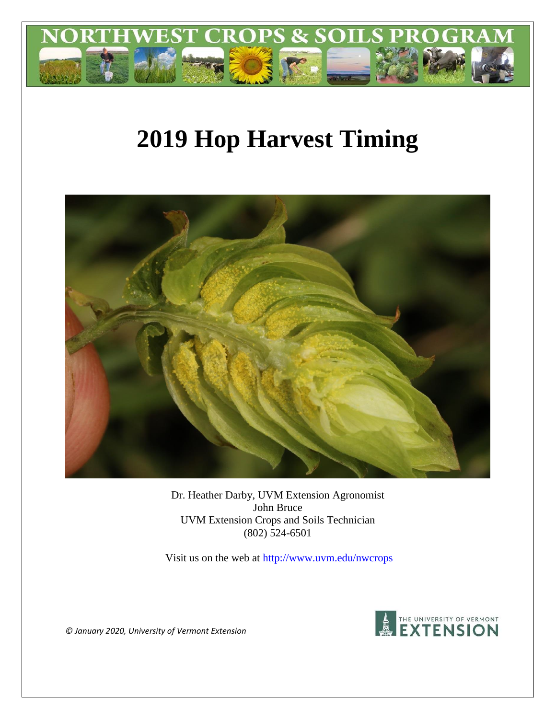

# **2019 Hop Harvest Timing**



Dr. Heather Darby, UVM Extension Agronomist John Bruce UVM Extension Crops and Soils Technician (802) 524-6501

Visit us on the web at<http://www.uvm.edu/nwcrops>



*© January 2020, University of Vermont Extension*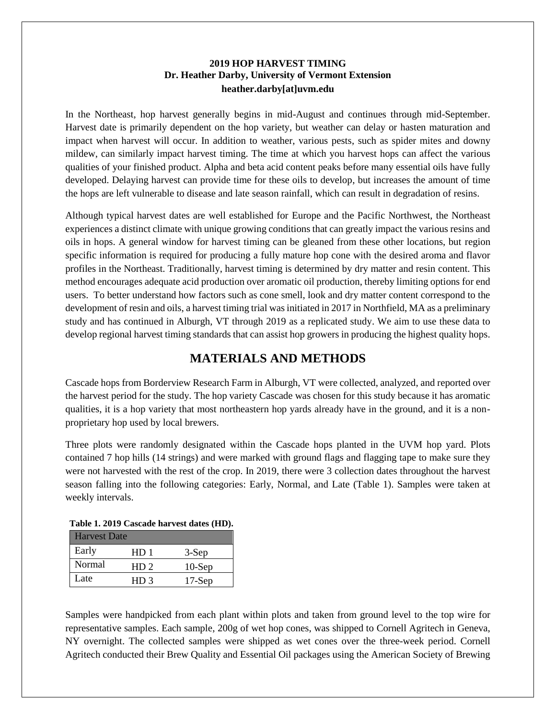#### **2019 HOP HARVEST TIMING Dr. Heather Darby, University of Vermont Extension heather.darby[at]uvm.edu**

In the Northeast, hop harvest generally begins in mid-August and continues through mid-September. Harvest date is primarily dependent on the hop variety, but weather can delay or hasten maturation and impact when harvest will occur. In addition to weather, various pests, such as spider mites and downy mildew, can similarly impact harvest timing. The time at which you harvest hops can affect the various qualities of your finished product. Alpha and beta acid content peaks before many essential oils have fully developed. Delaying harvest can provide time for these oils to develop, but increases the amount of time the hops are left vulnerable to disease and late season rainfall, which can result in degradation of resins.

Although typical harvest dates are well established for Europe and the Pacific Northwest, the Northeast experiences a distinct climate with unique growing conditions that can greatly impact the various resins and oils in hops. A general window for harvest timing can be gleaned from these other locations, but region specific information is required for producing a fully mature hop cone with the desired aroma and flavor profiles in the Northeast. Traditionally, harvest timing is determined by dry matter and resin content. This method encourages adequate acid production over aromatic oil production, thereby limiting options for end users. To better understand how factors such as cone smell, look and dry matter content correspond to the development of resin and oils, a harvest timing trial was initiated in 2017 in Northfield, MA as a preliminary study and has continued in Alburgh, VT through 2019 as a replicated study. We aim to use these data to develop regional harvest timing standards that can assist hop growers in producing the highest quality hops.

## **MATERIALS AND METHODS**

Cascade hops from Borderview Research Farm in Alburgh, VT were collected, analyzed, and reported over the harvest period for the study. The hop variety Cascade was chosen for this study because it has aromatic qualities, it is a hop variety that most northeastern hop yards already have in the ground, and it is a nonproprietary hop used by local brewers.

Three plots were randomly designated within the Cascade hops planted in the UVM hop yard. Plots contained 7 hop hills (14 strings) and were marked with ground flags and flagging tape to make sure they were not harvested with the rest of the crop. In 2019, there were 3 collection dates throughout the harvest season falling into the following categories: Early, Normal, and Late (Table 1). Samples were taken at weekly intervals.

| Table 1. 2017 Cascaue hai vest dates (11D). |                 |           |  |  |  |
|---------------------------------------------|-----------------|-----------|--|--|--|
| <b>Harvest Date</b>                         |                 |           |  |  |  |
| Early                                       | HD 1            | $3-Sep$   |  |  |  |
| Normal                                      | HD <sub>2</sub> | $10-$ Sep |  |  |  |
| Late                                        | HD <sub>3</sub> | $17-Sep$  |  |  |  |

#### **Table 1. 2019 Cascade harvest dates (HD).**

Samples were handpicked from each plant within plots and taken from ground level to the top wire for representative samples. Each sample, 200g of wet hop cones, was shipped to Cornell Agritech in Geneva, NY overnight. The collected samples were shipped as wet cones over the three-week period. Cornell Agritech conducted their Brew Quality and Essential Oil packages using the American Society of Brewing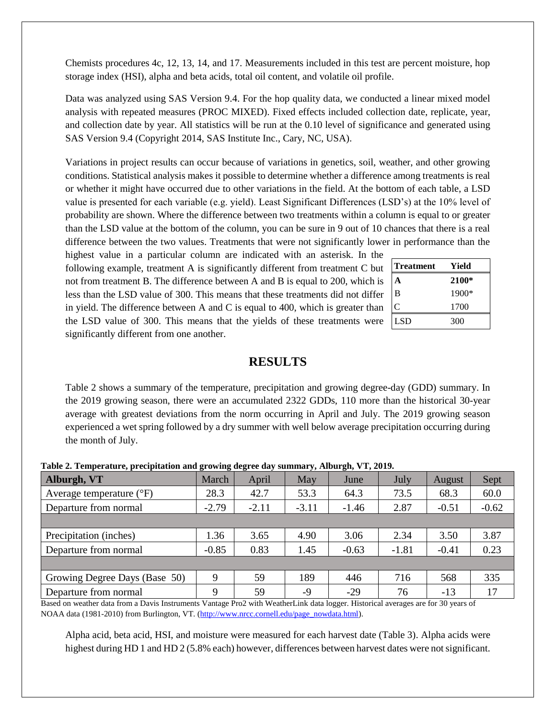Chemists procedures 4c, 12, 13, 14, and 17. Measurements included in this test are percent moisture, hop storage index (HSI), alpha and beta acids, total oil content, and volatile oil profile.

Data was analyzed using SAS Version 9.4. For the hop quality data, we conducted a linear mixed model analysis with repeated measures (PROC MIXED). Fixed effects included collection date, replicate, year, and collection date by year. All statistics will be run at the 0.10 level of significance and generated using SAS Version 9.4 (Copyright 2014, SAS Institute Inc., Cary, NC, USA).

Variations in project results can occur because of variations in genetics, soil, weather, and other growing conditions. Statistical analysis makes it possible to determine whether a difference among treatments is real or whether it might have occurred due to other variations in the field. At the bottom of each table, a LSD value is presented for each variable (e.g. yield). Least Significant Differences (LSD's) at the 10% level of probability are shown. Where the difference between two treatments within a column is equal to or greater than the LSD value at the bottom of the column, you can be sure in 9 out of 10 chances that there is a real difference between the two values. Treatments that were not significantly lower in performance than the

highest value in a particular column are indicated with an asterisk. In the following example, treatment A is significantly different from treatment C but not from treatment B. The difference between A and B is equal to 200, which is less than the LSD value of 300. This means that these treatments did not differ in yield. The difference between A and C is equal to 400, which is greater than the LSD value of 300. This means that the yields of these treatments were significantly different from one another.

| <b>Treatment</b> | Yield   |
|------------------|---------|
| А                | 2100*   |
| в                | $1900*$ |
|                  | 1700    |
| <b>LSD</b>       | 300     |

### **RESULTS**

Table 2 shows a summary of the temperature, precipitation and growing degree-day (GDD) summary. In the 2019 growing season, there were an accumulated 2322 GDDs, 110 more than the historical 30-year average with greatest deviations from the norm occurring in April and July. The 2019 growing season experienced a wet spring followed by a dry summer with well below average precipitation occurring during the month of July.

| <b>Thore are remportantly precipiunted and growing acgree any building <math>\eta</math> relating <math>\eta</math> ray and reported</b> |         |         |         |         |         |         |         |
|------------------------------------------------------------------------------------------------------------------------------------------|---------|---------|---------|---------|---------|---------|---------|
| Alburgh, VT                                                                                                                              | March   | April   | May     | June    | July    | August  | Sept    |
| Average temperature $({}^{\circ}F)$                                                                                                      | 28.3    | 42.7    | 53.3    | 64.3    | 73.5    | 68.3    | 60.0    |
| Departure from normal                                                                                                                    | $-2.79$ | $-2.11$ | $-3.11$ | $-1.46$ | 2.87    | $-0.51$ | $-0.62$ |
|                                                                                                                                          |         |         |         |         |         |         |         |
| Precipitation (inches)                                                                                                                   | 1.36    | 3.65    | 4.90    | 3.06    | 2.34    | 3.50    | 3.87    |
| Departure from normal                                                                                                                    | $-0.85$ | 0.83    | 1.45    | $-0.63$ | $-1.81$ | $-0.41$ | 0.23    |
|                                                                                                                                          |         |         |         |         |         |         |         |
| Growing Degree Days (Base 50)                                                                                                            | 9       | 59      | 189     | 446     | 716     | 568     | 335     |
| Departure from normal                                                                                                                    | 9       | 59      | -9      | $-29$   | 76      | $-13$   | 17      |
| Deed on weether data from a Davis Instruments Ventore Dro? with Weether in Late logger Historical exercise are for 20 years of           |         |         |         |         |         |         |         |

**Table 2. Temperature, precipitation and growing degree day summary, Alburgh, VT, 2019.**

Based on weather data from a Davis Instruments Vantage Pro2 with WeatherLink data logger. Historical averages are for 30 years of NOAA data (1981-2010) from Burlington, VT. [\(http://www.nrcc.cornell.edu/page\\_nowdata.html\)](http://www.nrcc.cornell.edu/page_nowdata.html).

Alpha acid, beta acid, HSI, and moisture were measured for each harvest date (Table 3). Alpha acids were highest during HD 1 and HD 2 (5.8% each) however, differences between harvest dates were not significant.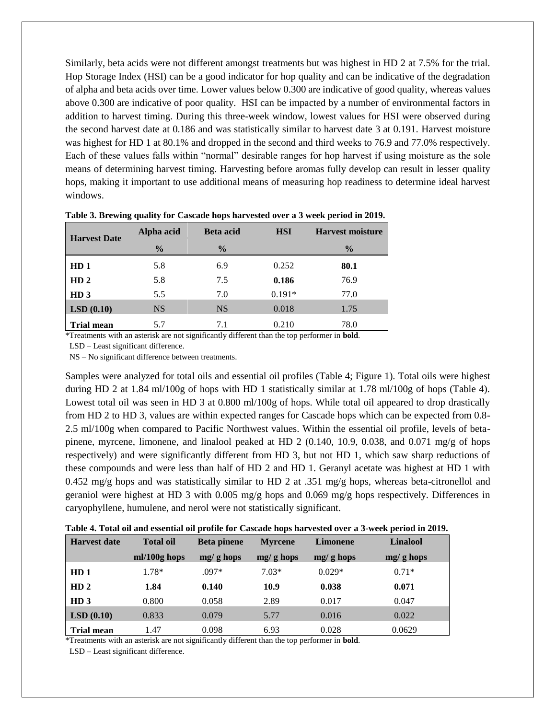Similarly, beta acids were not different amongst treatments but was highest in HD 2 at 7.5% for the trial. Hop Storage Index (HSI) can be a good indicator for hop quality and can be indicative of the degradation of alpha and beta acids over time. Lower values below 0.300 are indicative of good quality, whereas values above 0.300 are indicative of poor quality. HSI can be impacted by a number of environmental factors in addition to harvest timing. During this three-week window, lowest values for HSI were observed during the second harvest date at 0.186 and was statistically similar to harvest date 3 at 0.191. Harvest moisture was highest for HD 1 at 80.1% and dropped in the second and third weeks to 76.9 and 77.0% respectively. Each of these values falls within "normal" desirable ranges for hop harvest if using moisture as the sole means of determining harvest timing. Harvesting before aromas fully develop can result in lesser quality hops, making it important to use additional means of measuring hop readiness to determine ideal harvest windows.

| <b>Harvest Date</b> | Alpha acid    | <b>Beta</b> acid | <b>HSI</b> | <b>Harvest moisture</b> |  |
|---------------------|---------------|------------------|------------|-------------------------|--|
|                     | $\frac{0}{0}$ | $\frac{0}{0}$    |            | $\frac{0}{0}$           |  |
| HD <sub>1</sub>     | 5.8           | 6.9              | 0.252      | 80.1                    |  |
| HD <sub>2</sub>     | 5.8           | 7.5              | 0.186      | 76.9                    |  |
| HD <sub>3</sub>     | 5.5           | 7.0              | $0.191*$   | 77.0                    |  |
| LSD(0.10)           | <b>NS</b>     | <b>NS</b>        | 0.018      | 1.75                    |  |
| <b>Trial mean</b>   | 5.7           | 7.1              | 0.210      | 78.0                    |  |

**Table 3. Brewing quality for Cascade hops harvested over a 3 week period in 2019.**

\*Treatments with an asterisk are not significantly different than the top performer in **bold**.

LSD – Least significant difference.

NS – No significant difference between treatments.

Samples were analyzed for total oils and essential oil profiles (Table 4; Figure 1). Total oils were highest during HD 2 at 1.84 ml/100g of hops with HD 1 statistically similar at 1.78 ml/100g of hops (Table 4). Lowest total oil was seen in HD 3 at 0.800 ml/100g of hops. While total oil appeared to drop drastically from HD 2 to HD 3, values are within expected ranges for Cascade hops which can be expected from 0.8- 2.5 ml/100g when compared to Pacific Northwest values. Within the essential oil profile, levels of betapinene, myrcene, limonene, and linalool peaked at HD 2  $(0.140, 10.9, 0.038,$  and  $0.071$  mg/g of hops respectively) and were significantly different from HD 3, but not HD 1, which saw sharp reductions of these compounds and were less than half of HD 2 and HD 1. Geranyl acetate was highest at HD 1 with 0.452 mg/g hops and was statistically similar to HD 2 at .351 mg/g hops, whereas beta-citronellol and geraniol were highest at HD 3 with 0.005 mg/g hops and 0.069 mg/g hops respectively. Differences in caryophyllene, humulene, and nerol were not statistically significant.

**Table 4. Total oil and essential oil profile for Cascade hops harvested over a 3-week period in 2019.**

| Harvest date         | <b>Total oil</b> | <b>Beta pinene</b> | <b>Myrcene</b> | <b>Limonene</b> | Linalool    |  |
|----------------------|------------------|--------------------|----------------|-----------------|-------------|--|
|                      | $ml/100g$ hops   | $mg/g$ hops        | $mg/g$ hops    | $mg/g$ hops     | $mg/g$ hops |  |
| HD <sub>1</sub>      | 1.78*            | .097*              | $7.03*$        | $0.029*$        | $0.71*$     |  |
| HD <sub>2</sub>      | 1.84             | 0.140              | 10.9           | 0.038           | 0.071       |  |
| HD <sub>3</sub>      | 0.800            | 0.058              | 2.89           | 0.017           | 0.047       |  |
| $\vert$ LSD $(0.10)$ | 0.833            | 0.079              | 5.77           | 0.016           | 0.022       |  |
| <b>Trial mean</b>    | 1.47             | 0.098              | 6.93           | 0.028           | 0.0629      |  |

\*Treatments with an asterisk are not significantly different than the top performer in **bold**.

LSD – Least significant difference.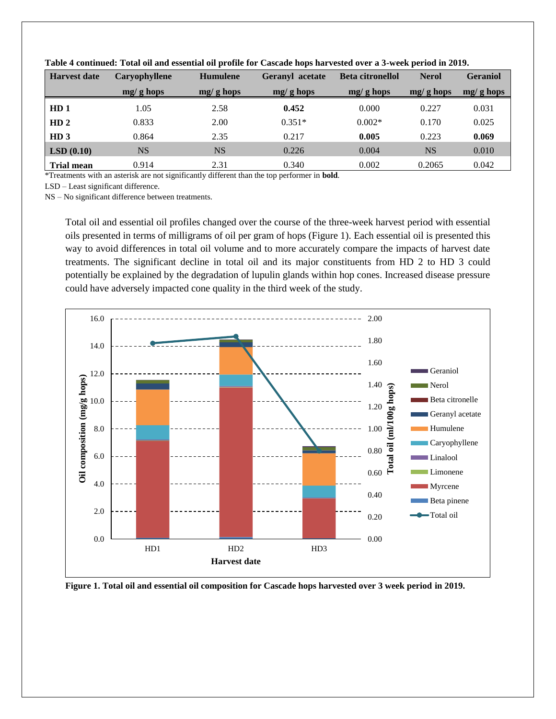| <b>Harvest date</b> | Caryophyllene | <b>Humulene</b> | Geranyl acetate | <b>Beta citronellol</b> | <b>Nerol</b> | <b>Geraniol</b> |
|---------------------|---------------|-----------------|-----------------|-------------------------|--------------|-----------------|
|                     | $mg/g$ hops   | $mg/g$ hops     | $mg/g$ hops     | $mg/g$ hops             | $mg/g$ hops  | $mg/g$ hops     |
| HD <sub>1</sub>     | 1.05          | 2.58            | 0.452           | 0.000                   | 0.227        | 0.031           |
| HD <sub>2</sub>     | 0.833         | 2.00            | $0.351*$        | $0.002*$                | 0.170        | 0.025           |
| HD <sub>3</sub>     | 0.864         | 2.35            | 0.217           | 0.005                   | 0.223        | 0.069           |
| LSD(0.10)           | <b>NS</b>     | <b>NS</b>       | 0.226           | 0.004                   | <b>NS</b>    | 0.010           |
| <b>Trial mean</b>   | 0.914         | 2.31            | 0.340           | 0.002                   | 0.2065       | 0.042           |

**Table 4 continued: Total oil and essential oil profile for Cascade hops harvested over a 3-week period in 2019.**

\*Treatments with an asterisk are not significantly different than the top performer in **bold**.

LSD – Least significant difference.

NS – No significant difference between treatments.

Total oil and essential oil profiles changed over the course of the three-week harvest period with essential oils presented in terms of milligrams of oil per gram of hops (Figure 1). Each essential oil is presented this way to avoid differences in total oil volume and to more accurately compare the impacts of harvest date treatments. The significant decline in total oil and its major constituents from HD 2 to HD 3 could potentially be explained by the degradation of lupulin glands within hop cones. Increased disease pressure could have adversely impacted cone quality in the third week of the study.



**Figure 1. Total oil and essential oil composition for Cascade hops harvested over 3 week period in 2019.**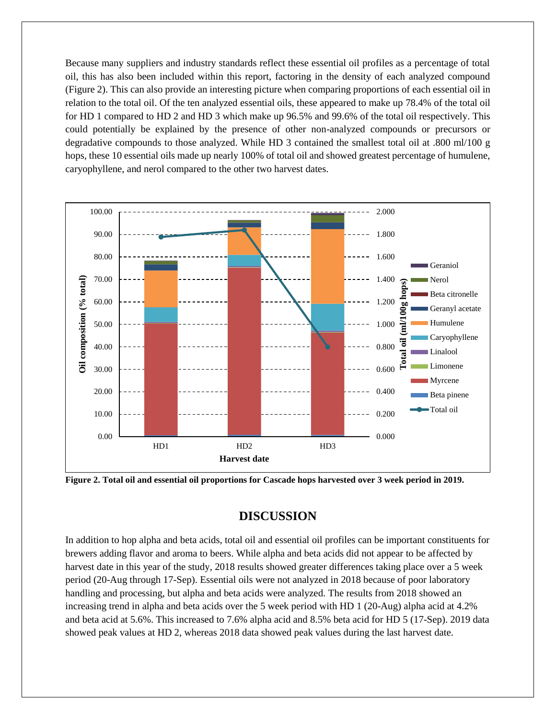Because many suppliers and industry standards reflect these essential oil profiles as a percentage of total oil, this has also been included within this report, factoring in the density of each analyzed compound (Figure 2). This can also provide an interesting picture when comparing proportions of each essential oil in relation to the total oil. Of the ten analyzed essential oils, these appeared to make up 78.4% of the total oil for HD 1 compared to HD 2 and HD 3 which make up 96.5% and 99.6% of the total oil respectively. This could potentially be explained by the presence of other non-analyzed compounds or precursors or degradative compounds to those analyzed. While HD 3 contained the smallest total oil at .800 ml/100 g hops, these 10 essential oils made up nearly 100% of total oil and showed greatest percentage of humulene, caryophyllene, and nerol compared to the other two harvest dates.



**Figure 2. Total oil and essential oil proportions for Cascade hops harvested over 3 week period in 2019.**

## **DISCUSSION**

In addition to hop alpha and beta acids, total oil and essential oil profiles can be important constituents for brewers adding flavor and aroma to beers. While alpha and beta acids did not appear to be affected by harvest date in this year of the study, 2018 results showed greater differences taking place over a 5 week period (20-Aug through 17-Sep). Essential oils were not analyzed in 2018 because of poor laboratory handling and processing, but alpha and beta acids were analyzed. The results from 2018 showed an increasing trend in alpha and beta acids over the 5 week period with HD 1 (20-Aug) alpha acid at 4.2% and beta acid at 5.6%. This increased to 7.6% alpha acid and 8.5% beta acid for HD 5 (17-Sep). 2019 data showed peak values at HD 2, whereas 2018 data showed peak values during the last harvest date.